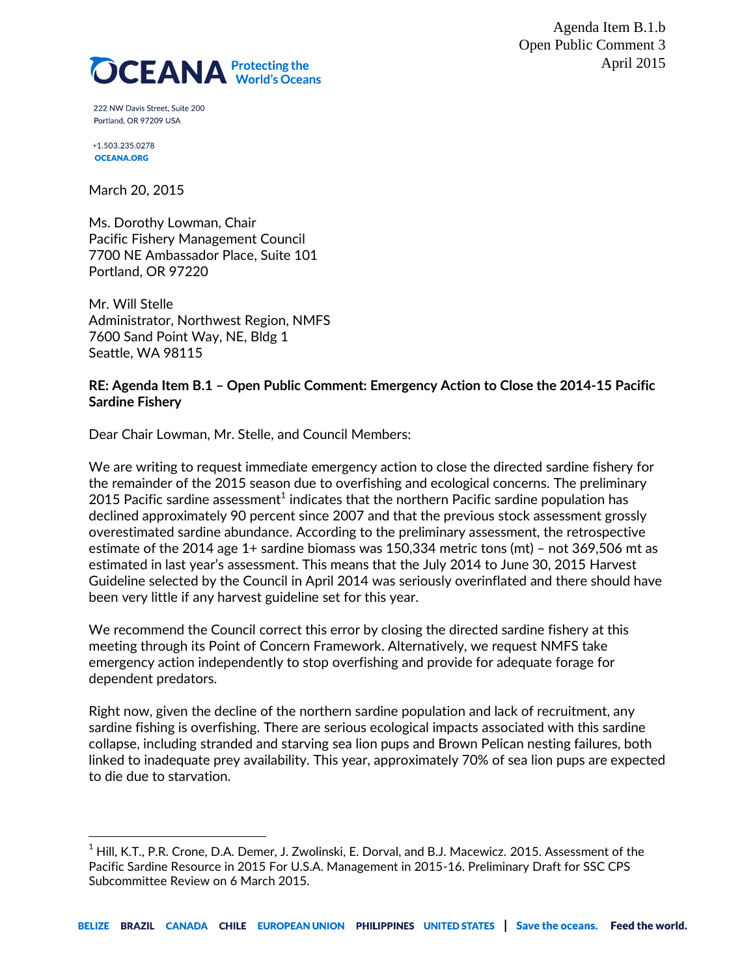Agenda Item B.1.b Open Public Comment 3 April 2015



222 NW Davis Street. Suite 200 Portland, OR 97209 USA

+1.503.235.0278 **OCEANA.ORG** 

 $\overline{a}$ 

March 20, 2015

Ms. Dorothy Lowman, Chair Pacific Fishery Management Council 7700 NE Ambassador Place, Suite 101 Portland, OR 97220

Mr. Will Stelle Administrator, Northwest Region, NMFS 7600 Sand Point Way, NE, Bldg 1 Seattle, WA 98115

### **RE: Agenda Item B.1 – Open Public Comment: Emergency Action to Close the 2014-15 Pacific Sardine Fishery**

Dear Chair Lowman, Mr. Stelle, and Council Members:

We are writing to request immediate emergency action to close the directed sardine fishery for the remainder of the 2015 season due to overfishing and ecological concerns. The preliminary 2015 Pacific sardine assessment $^{\rm 1}$  indicates that the northern Pacific sardine population has declined approximately 90 percent since 2007 and that the previous stock assessment grossly overestimated sardine abundance. According to the preliminary assessment, the retrospective estimate of the 2014 age 1+ sardine biomass was 150,334 metric tons (mt) – not 369,506 mt as estimated in last year's assessment. This means that the July 2014 to June 30, 2015 Harvest Guideline selected by the Council in April 2014 was seriously overinflated and there should have been very little if any harvest guideline set for this year.

We recommend the Council correct this error by closing the directed sardine fishery at this meeting through its Point of Concern Framework. Alternatively, we request NMFS take emergency action independently to stop overfishing and provide for adequate forage for dependent predators.

Right now, given the decline of the northern sardine population and lack of recruitment, any sardine fishing is overfishing. There are serious ecological impacts associated with this sardine collapse, including stranded and starving sea lion pups and Brown Pelican nesting failures, both linked to inadequate prey availability. This year, approximately 70% of sea lion pups are expected to die due to starvation.

 $^{\rm 1}$  Hill, K.T., P.R. Crone, D.A. Demer, J. Zwolinski, E. Dorval, and B.J. Macewicz. 2015. Assessment of the Pacific Sardine Resource in 2015 For U.S.A. Management in 2015-16. Preliminary Draft for SSC CPS Subcommittee Review on 6 March 2015.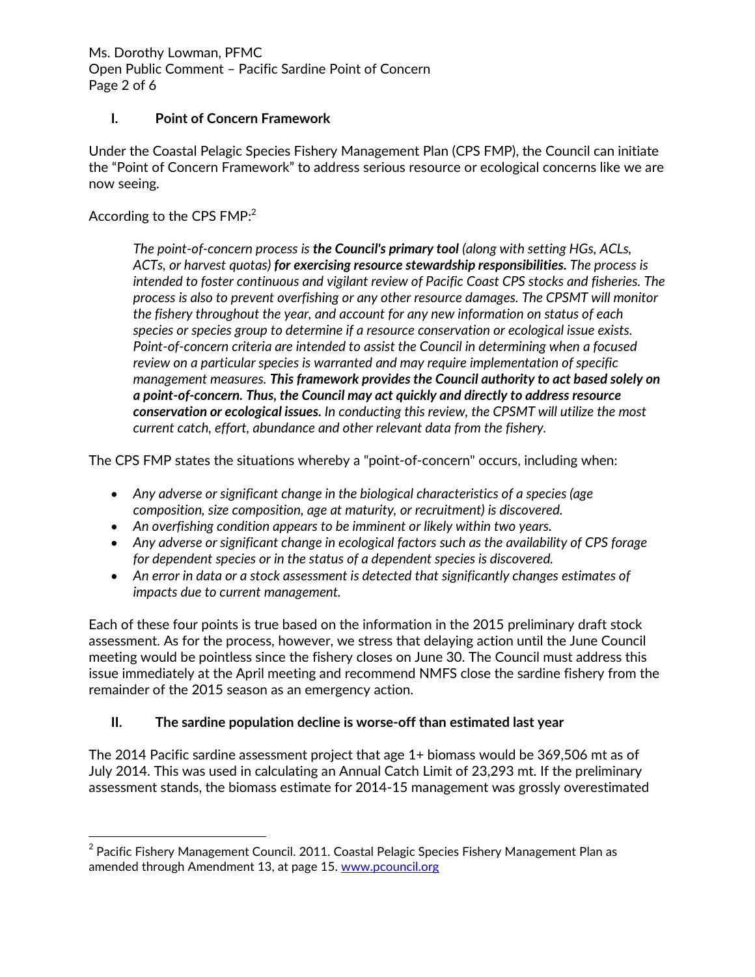Ms. Dorothy Lowman, PFMC Open Public Comment – Pacific Sardine Point of Concern Page 2 of 6

### **I. Point of Concern Framework**

Under the Coastal Pelagic Species Fishery Management Plan (CPS FMP), the Council can initiate the "Point of Concern Framework" to address serious resource or ecological concerns like we are now seeing.

## According to the CPS  $\mathsf{FMP:}^2$

 $\overline{a}$ 

*The point-of-concern process is the Council's primary tool (along with setting HGs, ACLs, ACTs, or harvest quotas) for exercising resource stewardship responsibilities. The process is intended to foster continuous and vigilant review of Pacific Coast CPS stocks and fisheries. The process is also to prevent overfishing or any other resource damages. The CPSMT will monitor the fishery throughout the year, and account for any new information on status of each species or species group to determine if a resource conservation or ecological issue exists. Point-of-concern criteria are intended to assist the Council in determining when a focused review on a particular species is warranted and may require implementation of specific management measures. This framework provides the Council authority to act based solely on a point-of-concern. Thus, the Council may act quickly and directly to address resource conservation or ecological issues. In conducting this review, the CPSMT will utilize the most current catch, effort, abundance and other relevant data from the fishery.*

The CPS FMP states the situations whereby a "point-of-concern" occurs, including when:

- *Any adverse or significant change in the biological characteristics of a species (age composition, size composition, age at maturity, or recruitment) is discovered.*
- *An overfishing condition appears to be imminent or likely within two years.*
- *Any adverse or significant change in ecological factors such as the availability of CPS forage for dependent species or in the status of a dependent species is discovered.*
- *An error in data or a stock assessment is detected that significantly changes estimates of impacts due to current management.*

Each of these four points is true based on the information in the 2015 preliminary draft stock assessment. As for the process, however, we stress that delaying action until the June Council meeting would be pointless since the fishery closes on June 30. The Council must address this issue immediately at the April meeting and recommend NMFS close the sardine fishery from the remainder of the 2015 season as an emergency action.

# **II. The sardine population decline is worse-off than estimated last year**

The 2014 Pacific sardine assessment project that age 1+ biomass would be 369,506 mt as of July 2014. This was used in calculating an Annual Catch Limit of 23,293 mt. If the preliminary assessment stands, the biomass estimate for 2014-15 management was grossly overestimated

 $^{\rm 2}$  Pacific Fishery Management Council. 2011. Coastal Pelagic Species Fishery Management Plan as amended through Amendment 13, at page 15. [www.pcouncil.org](http://www.pcouncil.org/)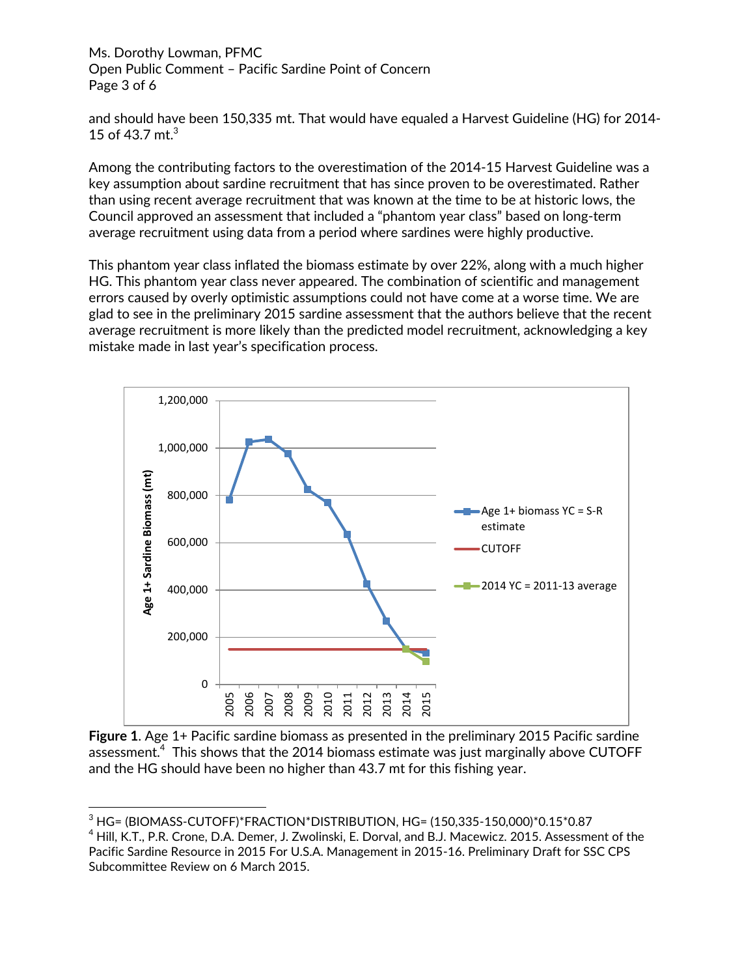Ms. Dorothy Lowman, PFMC Open Public Comment – Pacific Sardine Point of Concern Page 3 of 6

and should have been 150,335 mt. That would have equaled a Harvest Guideline (HG) for 2014- 15 of 43.7 mt. $3$ 

Among the contributing factors to the overestimation of the 2014-15 Harvest Guideline was a key assumption about sardine recruitment that has since proven to be overestimated. Rather than using recent average recruitment that was known at the time to be at historic lows, the Council approved an assessment that included a "phantom year class" based on long-term average recruitment using data from a period where sardines were highly productive.

This phantom year class inflated the biomass estimate by over 22%, along with a much higher HG. This phantom year class never appeared. The combination of scientific and management errors caused by overly optimistic assumptions could not have come at a worse time. We are glad to see in the preliminary 2015 sardine assessment that the authors believe that the recent average recruitment is more likely than the predicted model recruitment, acknowledging a key mistake made in last year's specification process.



**Figure 1**. Age 1+ Pacific sardine biomass as presented in the preliminary 2015 Pacific sardine assessment. $^4\,$  This shows that the 2014 biomass estimate was just marginally above <code>CUTOFF</code> and the HG should have been no higher than 43.7 mt for this fishing year.

 $\overline{a}$ <sup>3</sup> HG= (BIOMASS-CUTOFF)\*FRACTION\*DISTRIBUTION, HG= (150,335-150,000)\*0.15\*0.87

 $4$  Hill, K.T., P.R. Crone, D.A. Demer, J. Zwolinski, E. Dorval, and B.J. Macewicz. 2015. Assessment of the Pacific Sardine Resource in 2015 For U.S.A. Management in 2015-16. Preliminary Draft for SSC CPS Subcommittee Review on 6 March 2015.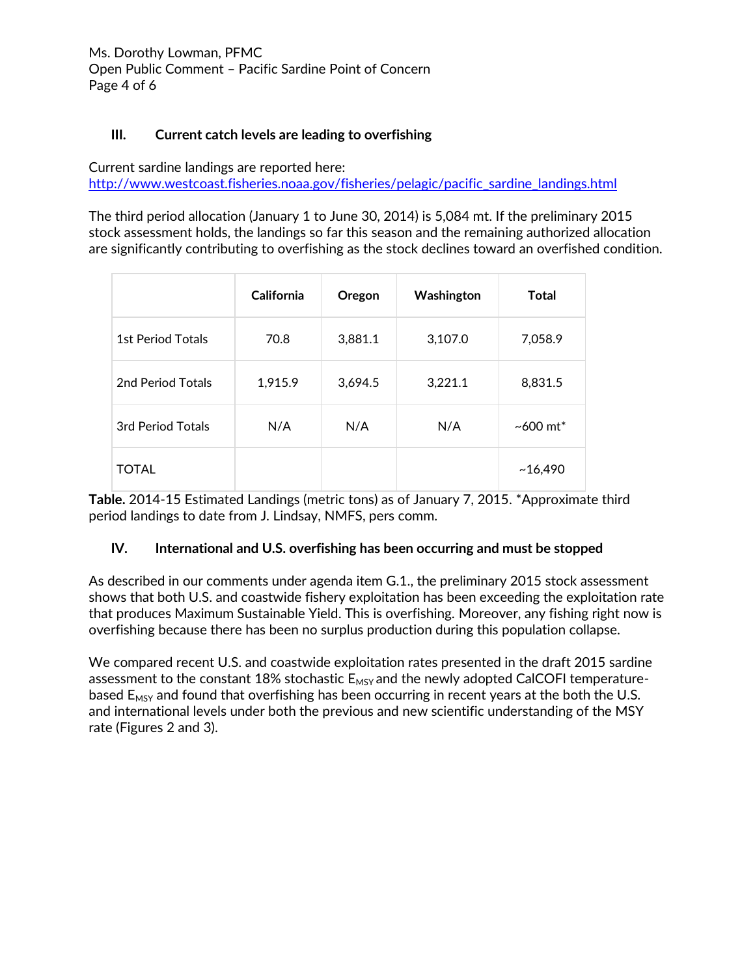# **III. Current catch levels are leading to overfishing**

Current sardine landings are reported here: [http://www.westcoast.fisheries.noaa.gov/fisheries/pelagic/pacific\\_sardine\\_landings.html](http://www.westcoast.fisheries.noaa.gov/fisheries/pelagic/pacific_sardine_landings.html)

The third period allocation (January 1 to June 30, 2014) is 5,084 mt. If the preliminary 2015 stock assessment holds, the landings so far this season and the remaining authorized allocation are significantly contributing to overfishing as the stock declines toward an overfished condition.

|                          | <b>California</b> | Oregon  | Washington | <b>Total</b>       |
|--------------------------|-------------------|---------|------------|--------------------|
| <b>1st Period Totals</b> | 70.8              | 3,881.1 | 3,107.0    | 7,058.9            |
| 2nd Period Totals        | 1,915.9           | 3,694.5 | 3,221.1    | 8,831.5            |
| 3rd Period Totals        | N/A               | N/A     | N/A        | $~1000~{\rm m}$ t* |
| <b>TOTAL</b>             |                   |         |            | ~16,490            |

**Table.** 2014-15 Estimated Landings (metric tons) as of January 7, 2015. \*Approximate third period landings to date from J. Lindsay, NMFS, pers comm.

#### **IV. International and U.S. overfishing has been occurring and must be stopped**

As described in our comments under agenda item G.1., the preliminary 2015 stock assessment shows that both U.S. and coastwide fishery exploitation has been exceeding the exploitation rate that produces Maximum Sustainable Yield. This is overfishing. Moreover, any fishing right now is overfishing because there has been no surplus production during this population collapse.

We compared recent U.S. and coastwide exploitation rates presented in the draft 2015 sardine assessment to the constant 18% stochastic  $E_{MSY}$  and the newly adopted CalCOFI temperaturebased  $E_{MSV}$  and found that overfishing has been occurring in recent years at the both the U.S. and international levels under both the previous and new scientific understanding of the MSY rate (Figures 2 and 3).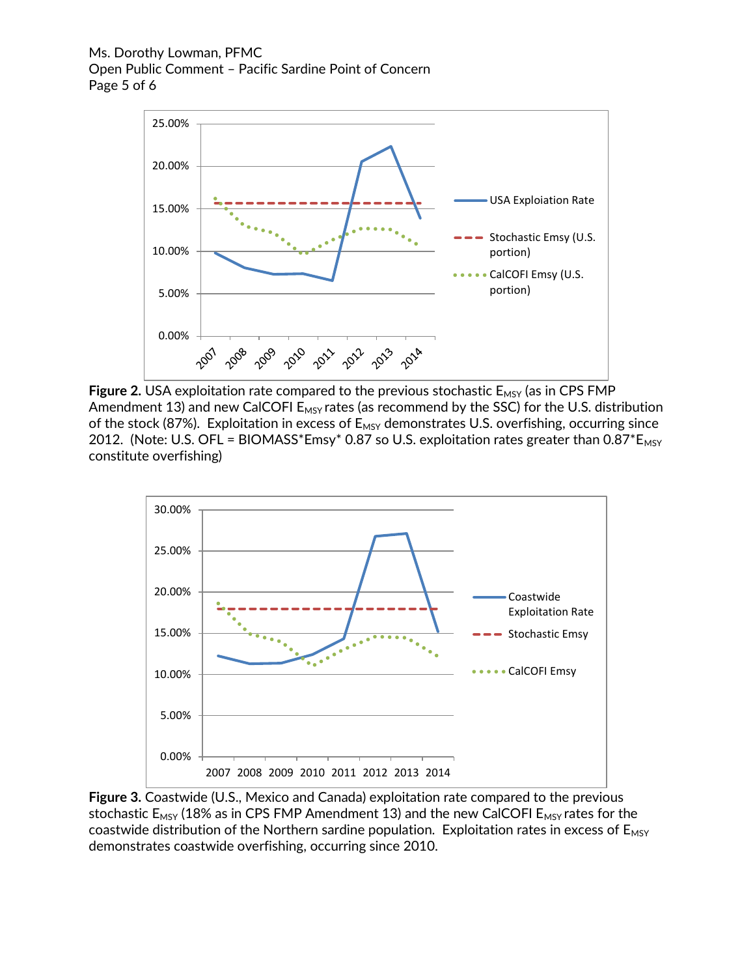Ms. Dorothy Lowman, PFMC Open Public Comment – Pacific Sardine Point of Concern Page 5 of 6



**Figure 2.** USA exploitation rate compared to the previous stochastic  $E_{MSY}$  (as in CPS FMP Amendment 13) and new CalCOFI  $E_{MSY}$  rates (as recommend by the SSC) for the U.S. distribution of the stock (87%). Exploitation in excess of  $E_{MSY}$  demonstrates U.S. overfishing, occurring since 2012. (Note: U.S. OFL = BIOMASS\*Emsy\* 0.87 so U.S. exploitation rates greater than  $0.87*E_{MSY}$ constitute overfishing)



**Figure 3.** Coastwide (U.S., Mexico and Canada) exploitation rate compared to the previous stochastic  $E_{MSY}$  (18% as in CPS FMP Amendment 13) and the new CalCOFI  $E_{MSY}$  rates for the coastwide distribution of the Northern sardine population. Exploitation rates in excess of  $E_{MSY}$ demonstrates coastwide overfishing, occurring since 2010.